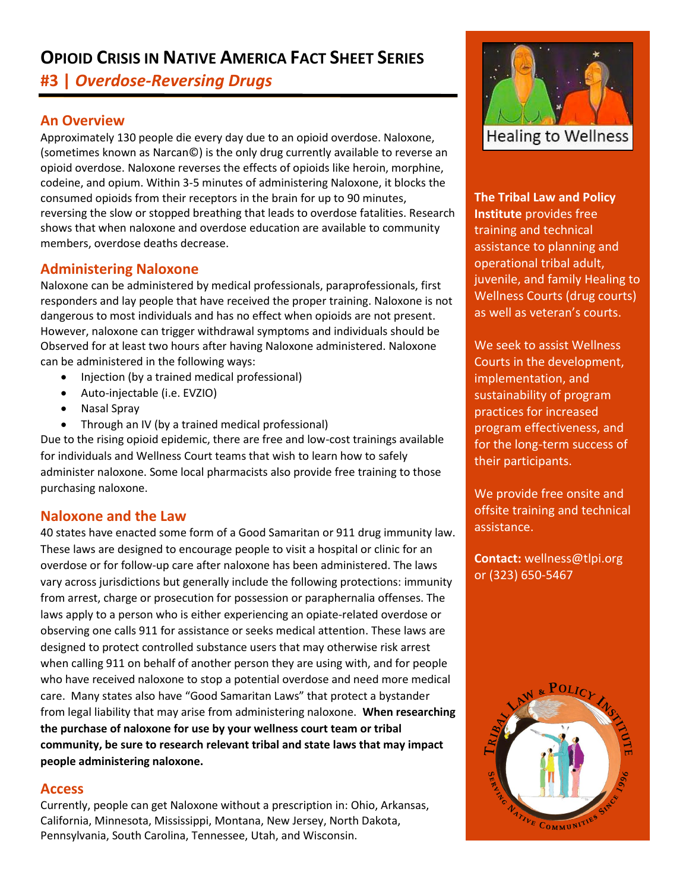# **OPIOID CRISIS IN NATIVE AMERICA FACT SHEET SERIES**

**#3 |** *Overdose-Reversing Drugs* 

# **An Overview**

Approximately 130 people die every day due to an opioid overdose. Naloxone, (sometimes known as Narcan©) is the only drug currently available to reverse an opioid overdose. Naloxone reverses the effects of opioids like heroin, morphine, codeine, and opium. Within 3-5 minutes of administering Naloxone, it blocks the consumed opioids from their receptors in the brain for up to 90 minutes, reversing the slow or stopped breathing that leads to overdose fatalities. Research shows that when naloxone and overdose education are available to community members, overdose deaths decrease.

# **Administering Naloxone**

Naloxone can be administered by medical professionals, paraprofessionals, first responders and lay people that have received the proper training. Naloxone is not dangerous to most individuals and has no effect when opioids are not present. However, naloxone can trigger withdrawal symptoms and individuals should be Observed for at least two hours after having Naloxone administered. Naloxone can be administered in the following ways:

- Injection (by a trained medical professional)
- Auto-injectable (i.e. EVZIO)
- Nasal Spray
- Through an IV (by a trained medical professional)

Due to the rising opioid epidemic, there are free and low-cost trainings available for individuals and Wellness Court teams that wish to learn how to safely administer naloxone. Some local pharmacists also provide free training to those purchasing naloxone.

## **Naloxone and the Law**

40 states have enacted some form of a Good Samaritan or 911 drug immunity law. These laws are designed to encourage people to visit a hospital or clinic for an overdose or for follow-up care after naloxone has been administered. The laws vary across jurisdictions but generally include the following protections: immunity from arrest, charge or prosecution for possession or paraphernalia offenses. The laws apply to a person who is either experiencing an opiate-related overdose or observing one calls 911 for assistance or seeks medical attention. These laws are designed to protect controlled substance users that may otherwise risk arrest when calling 911 on behalf of another person they are using with, and for people who have received naloxone to stop a potential overdose and need more medical care. Many states also have "Good Samaritan Laws" that protect a bystander from legal liability that may arise from administering naloxone. **When researching the purchase of naloxone for use by your wellness court team or tribal community, be sure to research relevant tribal and state laws that may impact people administering naloxone.**

## **Access**

Currently, people can get Naloxone without a prescription in: Ohio, Arkansas, California, Minnesota, Mississippi, Montana, New Jersey, North Dakota, Pennsylvania, South Carolina, Tennessee, Utah, and Wisconsin.



**The Tribal Law and Policy Institute** provides free training and technical assistance to planning and operational tribal adult, juvenile, and family Healing to Wellness Courts (drug courts) as well as veteran's courts.

We seek to assist Wellness Courts in the development, implementation, and sustainability of program practices for increased program effectiveness, and for the long-term success of their participants.

We provide free onsite and offsite training and technical assistance.

**Contact:** wellness@tlpi.org or (323) 650-5467